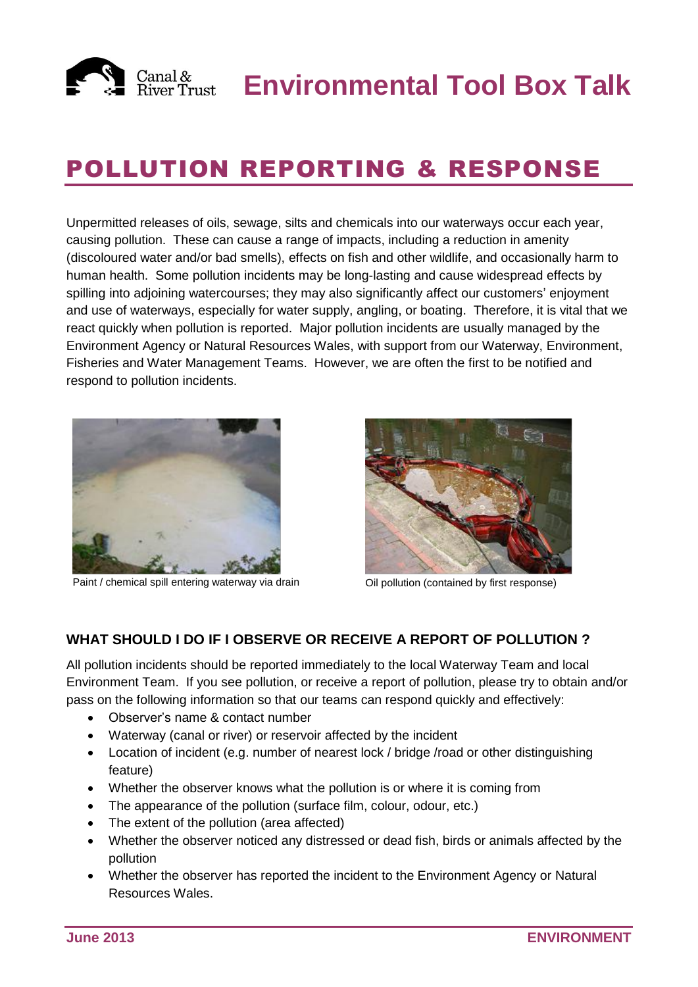

## POLLUTION REPORTING & RESPONSE

Unpermitted releases of oils, sewage, silts and chemicals into our waterways occur each year, causing pollution. These can cause a range of impacts, including a reduction in amenity (discoloured water and/or bad smells), effects on fish and other wildlife, and occasionally harm to human health. Some pollution incidents may be long-lasting and cause widespread effects by spilling into adjoining watercourses; they may also significantly affect our customers' enjoyment and use of waterways, especially for water supply, angling, or boating. Therefore, it is vital that we react quickly when pollution is reported. Major pollution incidents are usually managed by the Environment Agency or Natural Resources Wales, with support from our Waterway, Environment, Fisheries and Water Management Teams. However, we are often the first to be notified and respond to pollution incidents.



Paint / chemical spill entering waterway via drain <br>
Oil pollution (contained by first response)



## **WHAT SHOULD I DO IF I OBSERVE OR RECEIVE A REPORT OF POLLUTION ?**

All pollution incidents should be reported immediately to the local Waterway Team and local Environment Team. If you see pollution, or receive a report of pollution, please try to obtain and/or pass on the following information so that our teams can respond quickly and effectively:

- Observer's name & contact number
- Waterway (canal or river) or reservoir affected by the incident
- Location of incident (e.g. number of nearest lock / bridge /road or other distinguishing feature)
- Whether the observer knows what the pollution is or where it is coming from
- The appearance of the pollution (surface film, colour, odour, etc.)
- The extent of the pollution (area affected)
- Whether the observer noticed any distressed or dead fish, birds or animals affected by the pollution
- Whether the observer has reported the incident to the Environment Agency or Natural Resources Wales.